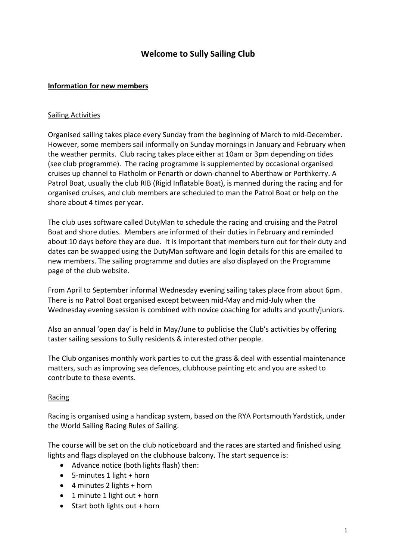# Welcome to Sully Sailing Club

## Information for new members

#### Sailing Activities

Organised sailing takes place every Sunday from the beginning of March to mid-December. However, some members sail informally on Sunday mornings in January and February when the weather permits. Club racing takes place either at 10am or 3pm depending on tides (see club programme). The racing programme is supplemented by occasional organised cruises up channel to Flatholm or Penarth or down-channel to Aberthaw or Porthkerry. A Patrol Boat, usually the club RIB (Rigid Inflatable Boat), is manned during the racing and for organised cruises, and club members are scheduled to man the Patrol Boat or help on the shore about 4 times per year.

The club uses software called DutyMan to schedule the racing and cruising and the Patrol Boat and shore duties. Members are informed of their duties in February and reminded about 10 days before they are due. It is important that members turn out for their duty and dates can be swapped using the DutyMan software and login details for this are emailed to new members. The sailing programme and duties are also displayed on the Programme page of the club website.

From April to September informal Wednesday evening sailing takes place from about 6pm. There is no Patrol Boat organised except between mid-May and mid-July when the Wednesday evening session is combined with novice coaching for adults and youth/juniors.

Also an annual 'open day' is held in May/June to publicise the Club's activities by offering taster sailing sessions to Sully residents & interested other people.

The Club organises monthly work parties to cut the grass & deal with essential maintenance matters, such as improving sea defences, clubhouse painting etc and you are asked to contribute to these events.

## Racing

Racing is organised using a handicap system, based on the RYA Portsmouth Yardstick, under the World Sailing Racing Rules of Sailing.

The course will be set on the club noticeboard and the races are started and finished using lights and flags displayed on the clubhouse balcony. The start sequence is:

- Advance notice (both lights flash) then:
- 5-minutes 1 light + horn
- $\bullet$  4 minutes 2 lights + horn
- $\bullet$  1 minute 1 light out + horn
- $\bullet$  Start both lights out + horn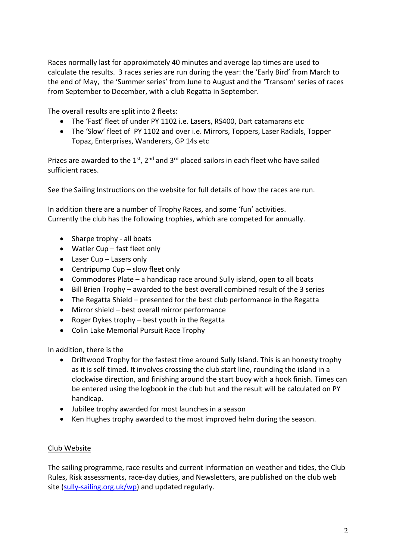Races normally last for approximately 40 minutes and average lap times are used to calculate the results. 3 races series are run during the year: the 'Early Bird' from March to the end of May, the 'Summer series' from June to August and the 'Transom' series of races from September to December, with a club Regatta in September.

The overall results are split into 2 fleets:

- The 'Fast' fleet of under PY 1102 i.e. Lasers, RS400, Dart catamarans etc
- The 'Slow' fleet of PY 1102 and over i.e. Mirrors, Toppers, Laser Radials, Topper Topaz, Enterprises, Wanderers, GP 14s etc

Prizes are awarded to the  $1<sup>st</sup>$ ,  $2<sup>nd</sup>$  and  $3<sup>rd</sup>$  placed sailors in each fleet who have sailed sufficient races.

See the Sailing Instructions on the website for full details of how the races are run.

In addition there are a number of Trophy Races, and some 'fun' activities. Currently the club has the following trophies, which are competed for annually.

- Sharpe trophy all boats
- Watler Cup fast fleet only
- Laser Cup Lasers only
- Centripump Cup slow fleet only
- Commodores Plate a handicap race around Sully island, open to all boats
- Bill Brien Trophy awarded to the best overall combined result of the 3 series
- The Regatta Shield presented for the best club performance in the Regatta
- Mirror shield best overall mirror performance
- Roger Dykes trophy best youth in the Regatta
- Colin Lake Memorial Pursuit Race Trophy

In addition, there is the

- Driftwood Trophy for the fastest time around Sully Island. This is an honesty trophy as it is self-timed. It involves crossing the club start line, rounding the island in a clockwise direction, and finishing around the start buoy with a hook finish. Times can be entered using the logbook in the club hut and the result will be calculated on PY handicap.
- Jubilee trophy awarded for most launches in a season
- Ken Hughes trophy awarded to the most improved helm during the season.

#### Club Website

The sailing programme, race results and current information on weather and tides, the Club Rules, Risk assessments, race-day duties, and Newsletters, are published on the club web site (sully-sailing.org.uk/wp) and updated regularly.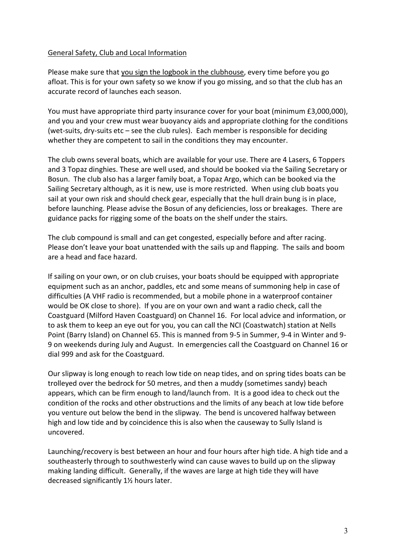#### General Safety, Club and Local Information

Please make sure that you sign the logbook in the clubhouse, every time before you go afloat. This is for your own safety so we know if you go missing, and so that the club has an accurate record of launches each season.

You must have appropriate third party insurance cover for your boat (minimum £3,000,000), and you and your crew must wear buoyancy aids and appropriate clothing for the conditions (wet-suits, dry-suits etc – see the club rules). Each member is responsible for deciding whether they are competent to sail in the conditions they may encounter.

The club owns several boats, which are available for your use. There are 4 Lasers, 6 Toppers and 3 Topaz dinghies. These are well used, and should be booked via the Sailing Secretary or Bosun. The club also has a larger family boat, a Topaz Argo, which can be booked via the Sailing Secretary although, as it is new, use is more restricted. When using club boats you sail at your own risk and should check gear, especially that the hull drain bung is in place, before launching. Please advise the Bosun of any deficiencies, loss or breakages. There are guidance packs for rigging some of the boats on the shelf under the stairs.

The club compound is small and can get congested, especially before and after racing. Please don't leave your boat unattended with the sails up and flapping. The sails and boom are a head and face hazard.

If sailing on your own, or on club cruises, your boats should be equipped with appropriate equipment such as an anchor, paddles, etc and some means of summoning help in case of difficulties (A VHF radio is recommended, but a mobile phone in a waterproof container would be OK close to shore). If you are on your own and want a radio check, call the Coastguard (Milford Haven Coastguard) on Channel 16. For local advice and information, or to ask them to keep an eye out for you, you can call the NCI (Coastwatch) station at Nells Point (Barry Island) on Channel 65. This is manned from 9-5 in Summer, 9-4 in Winter and 9- 9 on weekends during July and August. In emergencies call the Coastguard on Channel 16 or dial 999 and ask for the Coastguard.

Our slipway is long enough to reach low tide on neap tides, and on spring tides boats can be trolleyed over the bedrock for 50 metres, and then a muddy (sometimes sandy) beach appears, which can be firm enough to land/launch from. It is a good idea to check out the condition of the rocks and other obstructions and the limits of any beach at low tide before you venture out below the bend in the slipway. The bend is uncovered halfway between high and low tide and by coincidence this is also when the causeway to Sully Island is uncovered.

Launching/recovery is best between an hour and four hours after high tide. A high tide and a southeasterly through to southwesterly wind can cause waves to build up on the slipway making landing difficult. Generally, if the waves are large at high tide they will have decreased significantly 1½ hours later.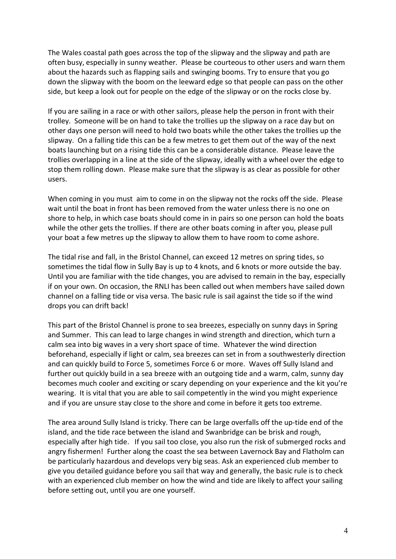The Wales coastal path goes across the top of the slipway and the slipway and path are often busy, especially in sunny weather. Please be courteous to other users and warn them about the hazards such as flapping sails and swinging booms. Try to ensure that you go down the slipway with the boom on the leeward edge so that people can pass on the other side, but keep a look out for people on the edge of the slipway or on the rocks close by.

If you are sailing in a race or with other sailors, please help the person in front with their trolley. Someone will be on hand to take the trollies up the slipway on a race day but on other days one person will need to hold two boats while the other takes the trollies up the slipway. On a falling tide this can be a few metres to get them out of the way of the next boats launching but on a rising tide this can be a considerable distance. Please leave the trollies overlapping in a line at the side of the slipway, ideally with a wheel over the edge to stop them rolling down. Please make sure that the slipway is as clear as possible for other users.

When coming in you must aim to come in on the slipway not the rocks off the side. Please wait until the boat in front has been removed from the water unless there is no one on shore to help, in which case boats should come in in pairs so one person can hold the boats while the other gets the trollies. If there are other boats coming in after you, please pull your boat a few metres up the slipway to allow them to have room to come ashore.

The tidal rise and fall, in the Bristol Channel, can exceed 12 metres on spring tides, so sometimes the tidal flow in Sully Bay is up to 4 knots, and 6 knots or more outside the bay. Until you are familiar with the tide changes, you are advised to remain in the bay, especially if on your own. On occasion, the RNLI has been called out when members have sailed down channel on a falling tide or visa versa. The basic rule is sail against the tide so if the wind drops you can drift back!

This part of the Bristol Channel is prone to sea breezes, especially on sunny days in Spring and Summer. This can lead to large changes in wind strength and direction, which turn a calm sea into big waves in a very short space of time. Whatever the wind direction beforehand, especially if light or calm, sea breezes can set in from a southwesterly direction and can quickly build to Force 5, sometimes Force 6 or more. Waves off Sully Island and further out quickly build in a sea breeze with an outgoing tide and a warm, calm, sunny day becomes much cooler and exciting or scary depending on your experience and the kit you're wearing. It is vital that you are able to sail competently in the wind you might experience and if you are unsure stay close to the shore and come in before it gets too extreme.

The area around Sully Island is tricky. There can be large overfalls off the up-tide end of the island, and the tide race between the island and Swanbridge can be brisk and rough, especially after high tide. If you sail too close, you also run the risk of submerged rocks and angry fishermen! Further along the coast the sea between Lavernock Bay and Flatholm can be particularly hazardous and develops very big seas. Ask an experienced club member to give you detailed guidance before you sail that way and generally, the basic rule is to check with an experienced club member on how the wind and tide are likely to affect your sailing before setting out, until you are one yourself.